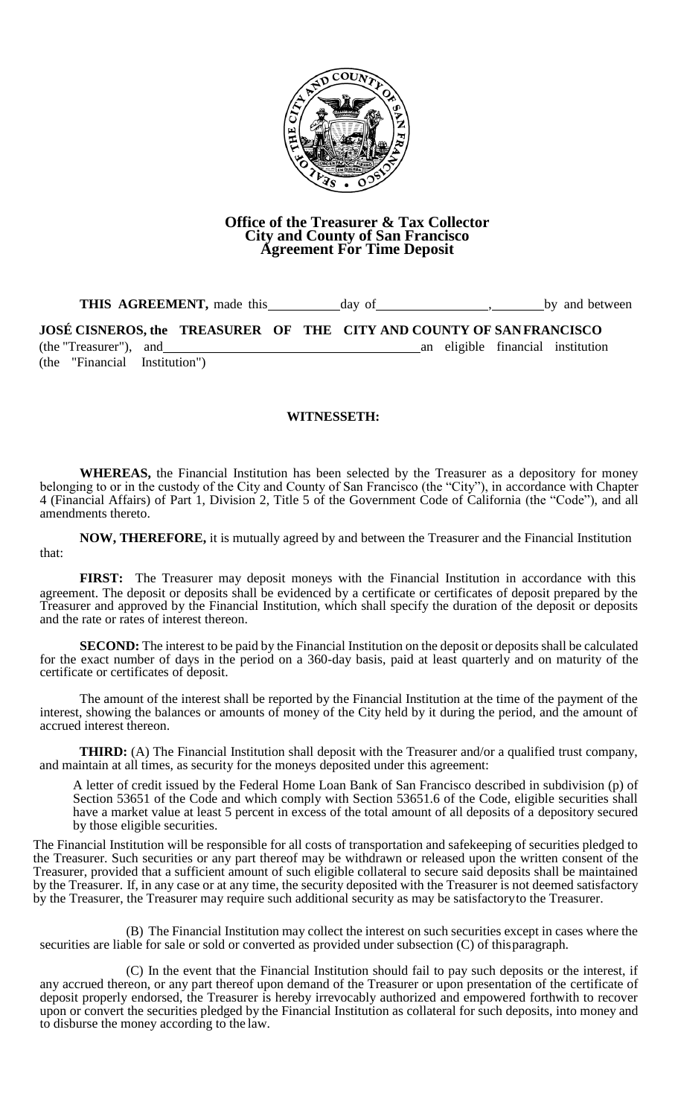

## **Office of the Treasurer & Tax Collector City and County of San Francisco Agreement For Time Deposit**

**THIS AGREEMENT,** made this day of , by and between

**JOSÉ CISNEROS, the TREASURER OF THE CITY AND COUNTY OF SANFRANCISCO** (the "Treasurer"), and an eligible financial institution (the "Financial Institution")

## **WITNESSETH:**

**WHEREAS,** the Financial Institution has been selected by the Treasurer as a depository for money belonging to or in the custody of the City and County of San Francisco (the "City"), in accordance with Chapter 4 (Financial Affairs) of Part 1, Division 2, Title 5 of the Government Code of California (the "Code"), and all amendments thereto.

**NOW, THEREFORE,** it is mutually agreed by and between the Treasurer and the Financial Institution that:

**FIRST:** The Treasurer may deposit moneys with the Financial Institution in accordance with this agreement. The deposit or deposits shall be evidenced by a certificate or certificates of deposit prepared by the Treasurer and approved by the Financial Institution, which shall specify the duration of the deposit or deposits and the rate or rates of interest thereon.

**SECOND:** The interest to be paid by the Financial Institution on the deposit or deposits shall be calculated for the exact number of days in the period on a 360-day basis, paid at least quarterly and on maturity of the certificate or certificates of deposit.

The amount of the interest shall be reported by the Financial Institution at the time of the payment of the interest, showing the balances or amounts of money of the City held by it during the period, and the amount of accrued interest thereon.

**THIRD:** (A) The Financial Institution shall deposit with the Treasurer and/or a qualified trust company, and maintain at all times, as security for the moneys deposited under this agreement:

A letter of credit issued by the Federal Home Loan Bank of San Francisco described in subdivision (p) of Section 53651 of the Code and which comply with Section 53651.6 of the Code, eligible securities shall have a market value at least 5 percent in excess of the total amount of all deposits of a depository secured by those eligible securities.

The Financial Institution will be responsible for all costs of transportation and safekeeping of securities pledged to the Treasurer. Such securities or any part thereof may be withdrawn or released upon the written consent of the Treasurer, provided that a sufficient amount of such eligible collateral to secure said deposits shall be maintained by the Treasurer. If, in any case or at any time, the security deposited with the Treasurer is not deemed satisfactory by the Treasurer, the Treasurer may require such additional security as may be satisfactoryto the Treasurer.

(B) The Financial Institution may collect the interest on such securities except in cases where the securities are liable for sale or sold or converted as provided under subsection  $(C)$  of this paragraph.

(C) In the event that the Financial Institution should fail to pay such deposits or the interest, if any accrued thereon, or any part thereof upon demand of the Treasurer or upon presentation of the certificate of deposit properly endorsed, the Treasurer is hereby irrevocably authorized and empowered forthwith to recover upon or convert the securities pledged by the Financial Institution as collateral for such deposits, into money and to disburse the money according to the law.